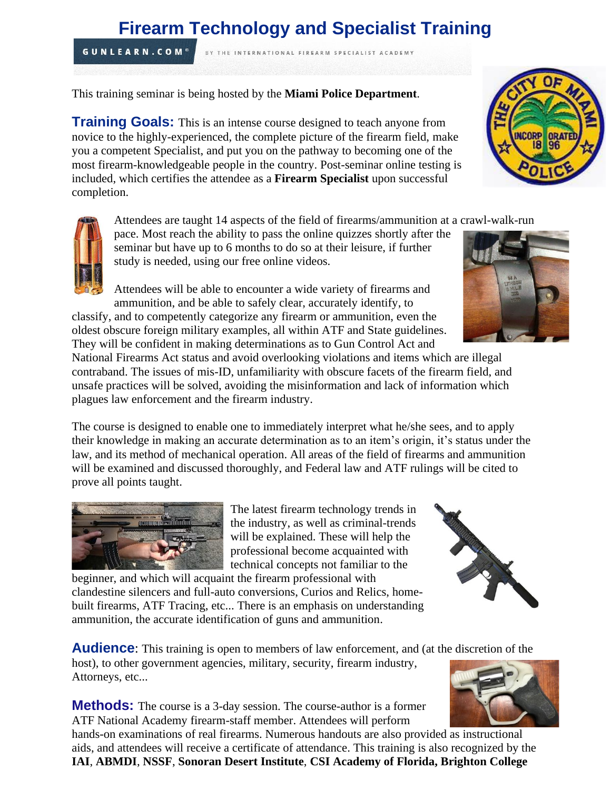# **Firearm Technology and Specialist Training**

BY THE INTERNATIONAL FIREARM SPECIALIST ACADEMY

This training seminar is being hosted by the **Miami Police Department**.

**Training Goals:** This is an intense course designed to teach anyone from novice to the highly-experienced, the complete picture of the firearm field, make you a competent Specialist, and put you on the pathway to becoming one of the most firearm-knowledgeable people in the country. Post-seminar online testing is included, which certifies the attendee as a **Firearm Specialist** upon successful completion.

Attendees are taught 14 aspects of the field of firearms/ammunition at a crawl-walk-run

pace. Most reach the ability to pass the online quizzes shortly after the seminar but have up to 6 months to do so at their leisure, if further study is needed, using our free online videos.

Attendees will be able to encounter a wide variety of firearms and ammunition, and be able to safely clear, accurately identify, to

classify, and to competently categorize any firearm or ammunition, even the oldest obscure foreign military examples, all within ATF and State guidelines. They will be confident in making determinations as to Gun Control Act and

National Firearms Act status and avoid overlooking violations and items which are illegal contraband. The issues of mis-ID, unfamiliarity with obscure facets of the firearm field, and unsafe practices will be solved, avoiding the misinformation and lack of information which plagues law enforcement and the firearm industry.

The course is designed to enable one to immediately interpret what he/she sees, and to apply their knowledge in making an accurate determination as to an item's origin, it's status under the law, and its method of mechanical operation. All areas of the field of firearms and ammunition will be examined and discussed thoroughly, and Federal law and ATF rulings will be cited to prove all points taught.

> The latest firearm technology trends in the industry, as well as criminal-trends will be explained. These will help the professional become acquainted with technical concepts not familiar to the

beginner, and which will acquaint the firearm professional with clandestine silencers and full-auto conversions, Curios and Relics, homebuilt firearms, ATF Tracing, etc... There is an emphasis on understanding ammunition, the accurate identification of guns and ammunition.

**Audience:** This training is open to members of law enforcement, and (at the discretion of the host), to other government agencies, military, security, firearm industry,

**Methods:** The course is a 3-day session. The course-author is a former ATF National Academy firearm-staff member. Attendees will perform

hands-on examinations of real firearms. Numerous handouts are also provided as instructional aids, and attendees will receive a certificate of attendance. This training is also recognized by the **IAI**, **ABMDI**, **NSSF**, **Sonoran Desert Institute**, **CSI Academy of Florida, Brighton College**



**GUNLEARN.COM®** 

Attorneys, etc...